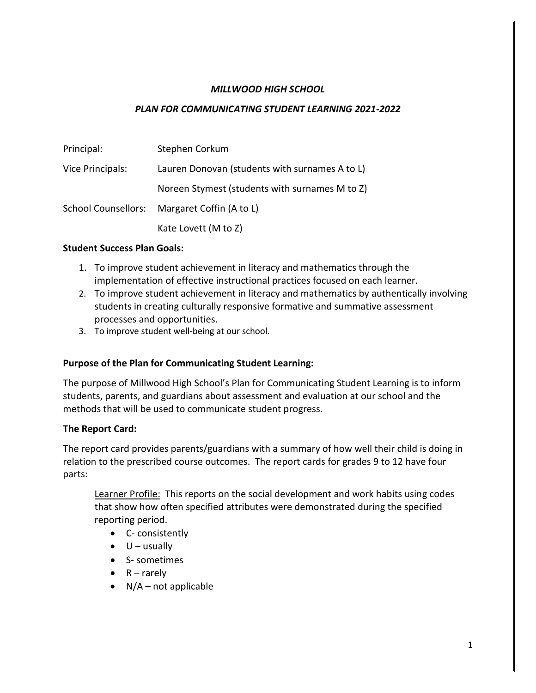# *MILLWOOD HIGH SCHOOL*

# *PLAN FOR COMMUNICATING STUDENT LEARNING 2021-2022*

| Principal:       | Stephen Corkum                                 |  |
|------------------|------------------------------------------------|--|
| Vice Principals: | Lauren Donovan (students with surnames A to L) |  |
|                  | Noreen Stymest (students with surnames M to Z) |  |
|                  | School Counsellors: Margaret Coffin (A to L)   |  |
|                  | Kate Lovett (M to Z)                           |  |

### **Student Success Plan Goals:**

- 1. To improve student achievement in literacy and mathematics through the implementation of effective instructional practices focused on each learner.
- 2. To improve student achievement in literacy and mathematics by authentically involving students in creating culturally responsive formative and summative assessment processes and opportunities.
- 3. To improve student well-being at our school.

# **Purpose of the Plan for Communicating Student Learning:**

The purpose of Millwood High School's Plan for Communicating Student Learning is to inform students, parents, and guardians about assessment and evaluation at our school and the methods that will be used to communicate student progress.

### **The Report Card:**

The report card provides parents/guardians with a summary of how well their child is doing in relation to the prescribed course outcomes. The report cards for grades 9 to 12 have four parts:

Learner Profile: This reports on the social development and work habits using codes that show how often specified attributes were demonstrated during the specified reporting period.

- C- consistently
- $\bullet$   $U -$  usually
- S- sometimes
- $\bullet$  R rarely
- $\bullet$  N/A not applicable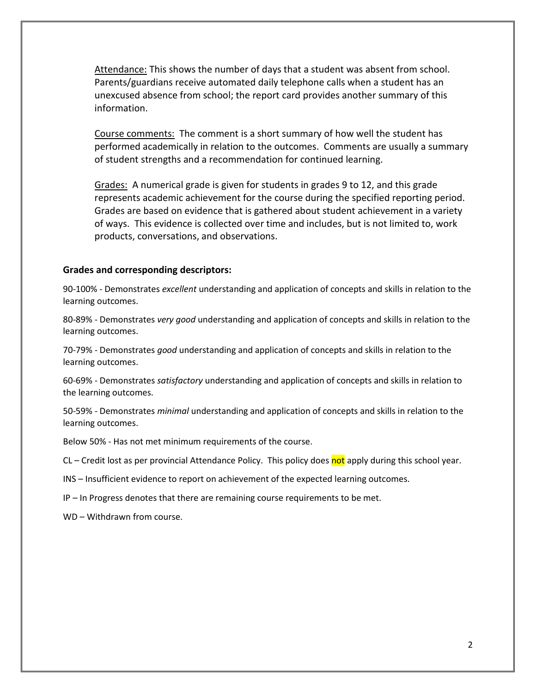Attendance: This shows the number of days that a student was absent from school. Parents/guardians receive automated daily telephone calls when a student has an unexcused absence from school; the report card provides another summary of this information.

Course comments: The comment is a short summary of how well the student has performed academically in relation to the outcomes. Comments are usually a summary of student strengths and a recommendation for continued learning.

Grades: A numerical grade is given for students in grades 9 to 12, and this grade represents academic achievement for the course during the specified reporting period. Grades are based on evidence that is gathered about student achievement in a variety of ways. This evidence is collected over time and includes, but is not limited to, work products, conversations, and observations.

#### **Grades and corresponding descriptors:**

90-100% - Demonstrates *excellent* understanding and application of concepts and skills in relation to the learning outcomes.

80-89% - Demonstrates *very good* understanding and application of concepts and skills in relation to the learning outcomes.

70-79% - Demonstrates *good* understanding and application of concepts and skills in relation to the learning outcomes.

60-69% - Demonstrates *satisfactory* understanding and application of concepts and skills in relation to the learning outcomes.

50-59% - Demonstrates *minimal* understanding and application of concepts and skills in relation to the learning outcomes.

Below 50% - Has not met minimum requirements of the course.

CL – Credit lost as per provincial Attendance Policy. This policy does not apply during this school year.

INS – Insufficient evidence to report on achievement of the expected learning outcomes.

IP – In Progress denotes that there are remaining course requirements to be met.

WD – Withdrawn from course.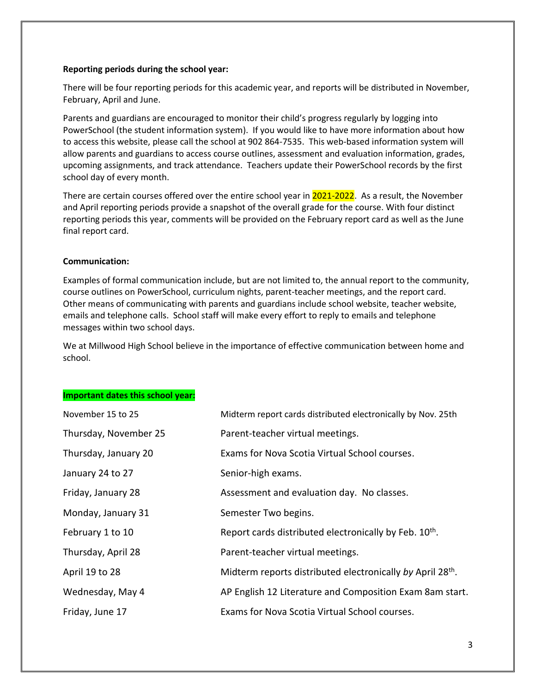#### **Reporting periods during the school year:**

There will be four reporting periods for this academic year, and reports will be distributed in November, February, April and June.

Parents and guardians are encouraged to monitor their child's progress regularly by logging into PowerSchool (the student information system). If you would like to have more information about how to access this website, please call the school at 902 864-7535. This web-based information system will allow parents and guardians to access course outlines, assessment and evaluation information, grades, upcoming assignments, and track attendance. Teachers update their PowerSchool records by the first school day of every month.

There are certain courses offered over the entire school year in 2021-2022. As a result, the November and April reporting periods provide a snapshot of the overall grade for the course. With four distinct reporting periods this year, comments will be provided on the February report card as well as the June final report card.

#### **Communication:**

Examples of formal communication include, but are not limited to, the annual report to the community, course outlines on PowerSchool, curriculum nights, parent-teacher meetings, and the report card. Other means of communicating with parents and guardians include school website, teacher website, emails and telephone calls. School staff will make every effort to reply to emails and telephone messages within two school days.

We at Millwood High School believe in the importance of effective communication between home and school.

#### **Important dates this school year:**

| November 15 to 25     | Midterm report cards distributed electronically by Nov. 25th           |
|-----------------------|------------------------------------------------------------------------|
| Thursday, November 25 | Parent-teacher virtual meetings.                                       |
| Thursday, January 20  | Exams for Nova Scotia Virtual School courses.                          |
| January 24 to 27      | Senior-high exams.                                                     |
| Friday, January 28    | Assessment and evaluation day. No classes.                             |
| Monday, January 31    | Semester Two begins.                                                   |
| February 1 to 10      | Report cards distributed electronically by Feb. 10th.                  |
| Thursday, April 28    | Parent-teacher virtual meetings.                                       |
| April 19 to 28        | Midterm reports distributed electronically by April 28 <sup>th</sup> . |
| Wednesday, May 4      | AP English 12 Literature and Composition Exam 8am start.               |
| Friday, June 17       | Exams for Nova Scotia Virtual School courses.                          |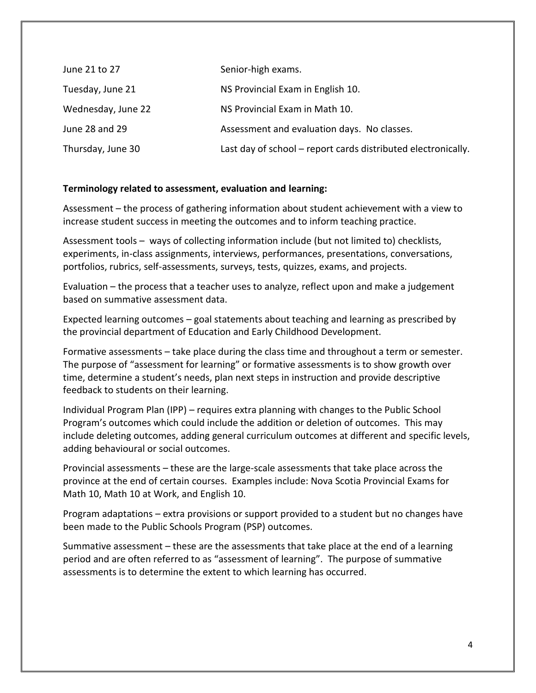| June 21 to 27      | Senior-high exams.                                            |
|--------------------|---------------------------------------------------------------|
| Tuesday, June 21   | NS Provincial Exam in English 10.                             |
| Wednesday, June 22 | NS Provincial Exam in Math 10.                                |
| June 28 and 29     | Assessment and evaluation days. No classes.                   |
| Thursday, June 30  | Last day of school - report cards distributed electronically. |

### **Terminology related to assessment, evaluation and learning:**

Assessment – the process of gathering information about student achievement with a view to increase student success in meeting the outcomes and to inform teaching practice.

Assessment tools – ways of collecting information include (but not limited to) checklists, experiments, in-class assignments, interviews, performances, presentations, conversations, portfolios, rubrics, self-assessments, surveys, tests, quizzes, exams, and projects.

Evaluation – the process that a teacher uses to analyze, reflect upon and make a judgement based on summative assessment data.

Expected learning outcomes – goal statements about teaching and learning as prescribed by the provincial department of Education and Early Childhood Development.

Formative assessments – take place during the class time and throughout a term or semester. The purpose of "assessment for learning" or formative assessments is to show growth over time, determine a student's needs, plan next steps in instruction and provide descriptive feedback to students on their learning.

Individual Program Plan (IPP) – requires extra planning with changes to the Public School Program's outcomes which could include the addition or deletion of outcomes. This may include deleting outcomes, adding general curriculum outcomes at different and specific levels, adding behavioural or social outcomes.

Provincial assessments – these are the large-scale assessments that take place across the province at the end of certain courses. Examples include: Nova Scotia Provincial Exams for Math 10, Math 10 at Work, and English 10.

Program adaptations – extra provisions or support provided to a student but no changes have been made to the Public Schools Program (PSP) outcomes.

Summative assessment – these are the assessments that take place at the end of a learning period and are often referred to as "assessment of learning". The purpose of summative assessments is to determine the extent to which learning has occurred.